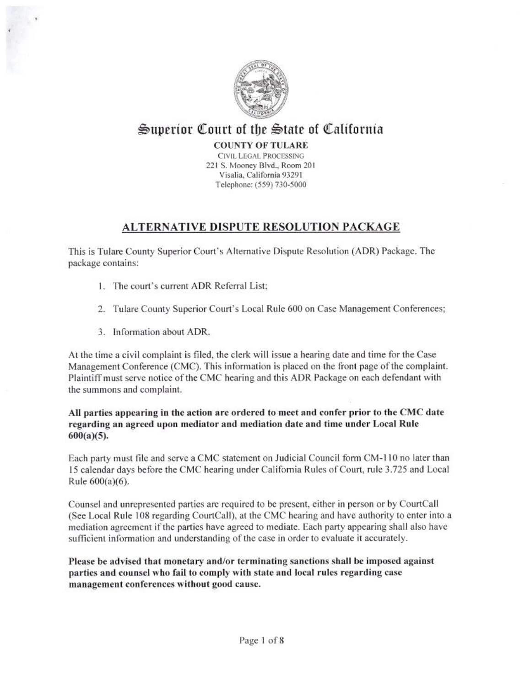

# Superior Court of the State of California

**COUNTY OF TULARE** 

**CIVIL LEGAL PROCESSING** 221 S. Mooney Blvd., Room 201 Visalia, California 93291 Telephone: (559) 730-5000

# **ALTERNATIVE DISPUTE RESOLUTION PACKAGE**

This is Tulare County Superior Court's Alternative Dispute Resolution (ADR) Package. The package contains:

- 1. The court's current ADR Referral List:
- 2. Tulare County Superior Court's Local Rule 600 on Case Management Conferences:
- 3. Information about ADR.

At the time a civil complaint is filed, the clerk will issue a hearing date and time for the Case Management Conference (CMC). This information is placed on the front page of the complaint. Plaintiff must serve notice of the CMC hearing and this ADR Package on each defendant with the summons and complaint.

All parties appearing in the action are ordered to meet and confer prior to the CMC date regarding an agreed upon mediator and mediation date and time under Local Rule  $600(a)(5)$ .

Each party must file and serve a CMC statement on Judicial Council form CM-110 no later than 15 calendar days before the CMC hearing under California Rules of Court, rule 3.725 and Local Rule 600(a)(6).

Counsel and unrepresented parties are required to be present, either in person or by CourtCall (See Local Rule 108 regarding CourtCall), at the CMC hearing and have authority to enter into a mediation agreement if the parties have agreed to mediate. Each party appearing shall also have sufficient information and understanding of the case in order to evaluate it accurately.

Please be advised that monetary and/or terminating sanctions shall be imposed against parties and counsel who fail to comply with state and local rules regarding case management conferences without good cause.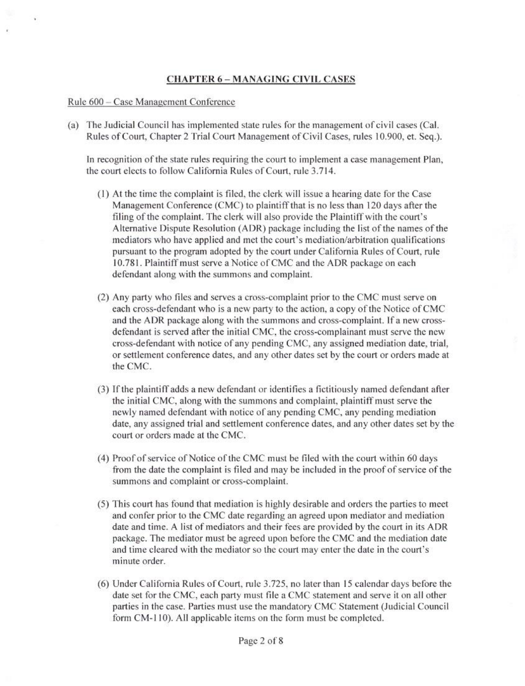#### **CHAPTER 6 - MANAGING CIVIL CASES**

#### Rule 600 - Case Management Conference

(a) The Judicial Council has implemented state rules for the management of civil cases (Cal. Rules of Court, Chapter 2 Trial Court Management of Civil Cases, rules 10.900, et. Seq.).

In recognition of the state rules requiring the court to implement a case management Plan, the court elects to follow California Rules of Court, rule 3.714.

- (1) At the time the complaint is filed, the clerk will issue a hearing date for the Case Management Conference (CMC) to plaintiff that is no less than 120 days after the filing of the complaint. The clerk will also provide the Plaintiff with the court's Alternative Dispute Resolution (ADR) package including the list of the names of the mediators who have applied and met the court's mediation/arbitration qualifications pursuant to the program adopted by the court under California Rules of Court, rule 10.781. Plaintiff must serve a Notice of CMC and the ADR package on each defendant along with the summons and complaint.
- (2) Any party who files and serves a cross-complaint prior to the CMC must serve on each cross-defendant who is a new party to the action, a copy of the Notice of CMC and the ADR package along with the summons and cross-complaint. If a new crossdefendant is served after the initial CMC, the cross-complainant must serve the new cross-defendant with notice of any pending CMC, any assigned mediation date, trial, or settlement conference dates, and any other dates set by the court or orders made at the CMC.
- (3) If the plaintiff adds a new defendant or identifies a fictitiously named defendant after the initial CMC, along with the summons and complaint, plaintiff must serve the newly named defendant with notice of any pending CMC, any pending mediation date, any assigned trial and settlement conference dates, and any other dates set by the court or orders made at the CMC.
- (4) Proof of service of Notice of the CMC must be filed with the court within 60 days from the date the complaint is filed and may be included in the proof of service of the summons and complaint or cross-complaint.
- (5) This court has found that mediation is highly desirable and orders the parties to meet and confer prior to the CMC date regarding an agreed upon mediator and mediation date and time. A list of mediators and their fees are provided by the court in its ADR package. The mediator must be agreed upon before the CMC and the mediation date and time cleared with the mediator so the court may enter the date in the court's minute order.
- (6) Under California Rules of Court, rule 3.725, no later than 15 calendar days before the date set for the CMC, each party must file a CMC statement and serve it on all other parties in the case. Parties must use the mandatory CMC Statement (Judicial Council form CM-110). All applicable items on the form must be completed.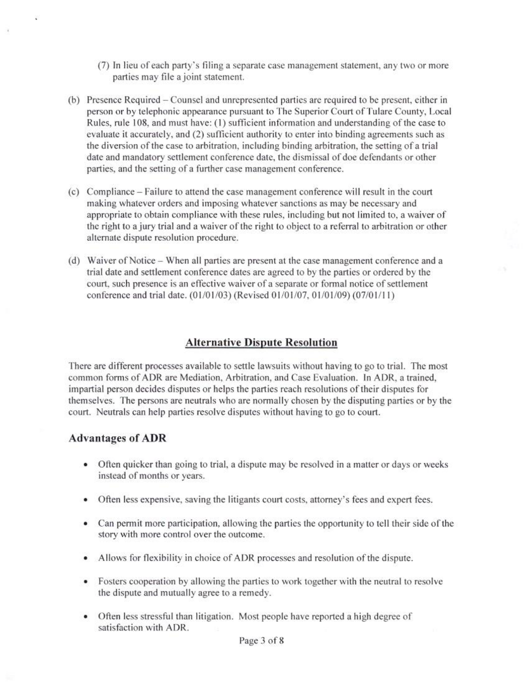- (7) In lieu of each party's filing a separate case management statement, any two or more parties may file a joint statement.
- (b) Presence Required Counsel and unrepresented parties are required to be present, either in person or by telephonic appearance pursuant to The Superior Court of Tulare County, Local Rules, rule 108, and must have: (1) sufficient information and understanding of the case to evaluate it accurately, and (2) sufficient authority to enter into binding agreements such as the diversion of the case to arbitration, including binding arbitration, the setting of a trial date and mandatory settlement conference date, the dismissal of doe defendants or other parties, and the setting of a further case management conference.
- (c) Compliance Failure to attend the case management conference will result in the court making whatever orders and imposing whatever sanctions as may be necessary and appropriate to obtain compliance with these rules, including but not limited to, a waiver of the right to a jury trial and a waiver of the right to object to a referral to arbitration or other alternate dispute resolution procedure.
- (d) Waiver of Notice When all parties are present at the case management conference and a trial date and settlement conference dates are agreed to by the parties or ordered by the court, such presence is an effective waiver of a separate or formal notice of settlement conference and trial date. (01/01/03) (Revised 01/01/07, 01/01/09) (07/01/11)

# **Alternative Dispute Resolution**

There are different processes available to settle lawsuits without having to go to trial. The most common forms of ADR are Mediation, Arbitration, and Case Evaluation. In ADR, a trained, impartial person decides disputes or helps the parties reach resolutions of their disputes for themselves. The persons are neutrals who are normally chosen by the disputing parties or by the court. Neutrals can help parties resolve disputes without having to go to court.

#### **Advantages of ADR**

- Often quicker than going to trial, a dispute may be resolved in a matter or days or weeks instead of months or years.
- Often less expensive, saving the litigants court costs, attorney's fees and expert fees.
- Can permit more participation, allowing the parties the opportunity to tell their side of the story with more control over the outcome.
- Allows for flexibility in choice of ADR processes and resolution of the dispute.
- Fosters cooperation by allowing the parties to work together with the neutral to resolve the dispute and mutually agree to a remedy.
- Often less stressful than litigation. Most people have reported a high degree of satisfaction with ADR.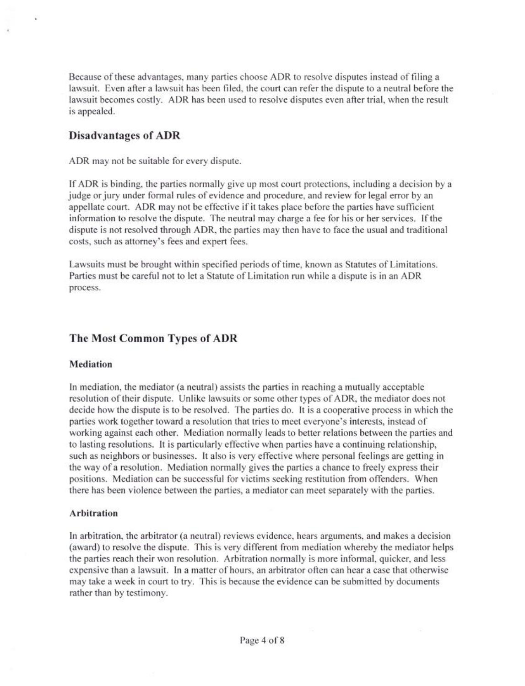Because of these advantages, many parties choose ADR to resolve disputes instead of filing a lawsuit. Even after a lawsuit has been filed, the court can refer the dispute to a neutral before the lawsuit becomes costly. ADR has been used to resolve disputes even after trial, when the result is appealed.

# **Disadvantages of ADR**

ADR may not be suitable for every dispute.

If ADR is binding, the parties normally give up most court protections, including a decision by a judge or jury under formal rules of evidence and procedure, and review for legal error by an appellate court. ADR may not be effective if it takes place before the parties have sufficient information to resolve the dispute. The neutral may charge a fee for his or her services. If the dispute is not resolved through ADR, the parties may then have to face the usual and traditional costs, such as attorney's fees and expert fees.

Lawsuits must be brought within specified periods of time, known as Statutes of Limitations. Parties must be careful not to let a Statute of Limitation run while a dispute is in an ADR process.

# The Most Common Types of ADR

#### Mediation

In mediation, the mediator (a neutral) assists the parties in reaching a mutually acceptable resolution of their dispute. Unlike lawsuits or some other types of ADR, the mediator does not decide how the dispute is to be resolved. The parties do. It is a cooperative process in which the parties work together toward a resolution that tries to meet everyone's interests, instead of working against each other. Mediation normally leads to better relations between the parties and to lasting resolutions. It is particularly effective when parties have a continuing relationship. such as neighbors or businesses. It also is very effective where personal feelings are getting in the way of a resolution. Mediation normally gives the parties a chance to freely express their positions. Mediation can be successful for victims seeking restitution from offenders. When there has been violence between the parties, a mediator can meet separately with the parties.

#### **Arbitration**

In arbitration, the arbitrator (a neutral) reviews evidence, hears arguments, and makes a decision (award) to resolve the dispute. This is very different from mediation whereby the mediator helps the parties reach their won resolution. Arbitration normally is more informal, quicker, and less expensive than a lawsuit. In a matter of hours, an arbitrator often can hear a case that otherwise may take a week in court to try. This is because the evidence can be submitted by documents rather than by testimony.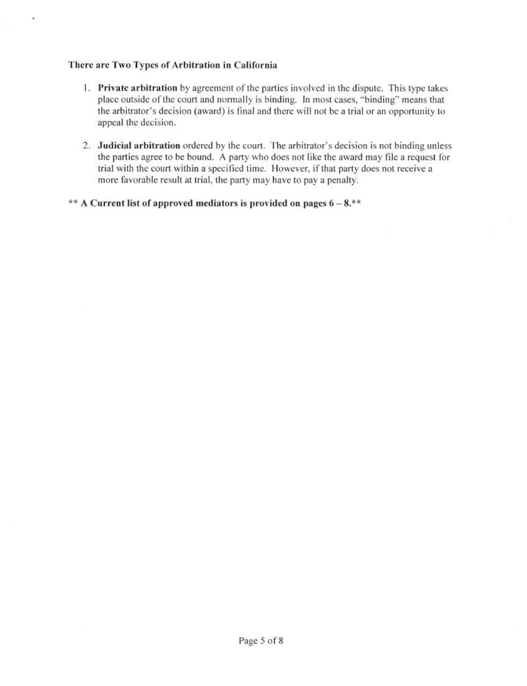### There are Two Types of Arbitration in California

Ń.

- 1. Private arbitration by agreement of the parties involved in the dispute. This type takes place outside of the court and normally is binding. In most cases, "binding" means that the arbitrator's decision (award) is final and there will not be a trial or an opportunity to appeal the decision.
- 2. Judicial arbitration ordered by the court. The arbitrator's decision is not binding unless the parties agree to be bound. A party who does not like the award may file a request for trial with the court within a specified time. However, if that party does not receive a more favorable result at trial, the party may have to pay a penalty.

#### \*\* A Current list of approved mediators is provided on pages  $6-8.**$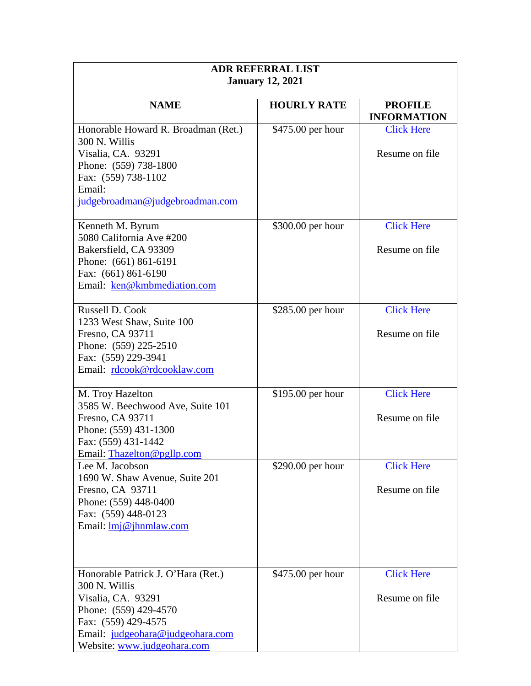| <b>ADR REFERRAL LIST</b>                            |                    |                                      |  |
|-----------------------------------------------------|--------------------|--------------------------------------|--|
| <b>January 12, 2021</b>                             |                    |                                      |  |
| <b>NAME</b>                                         | <b>HOURLY RATE</b> | <b>PROFILE</b><br><b>INFORMATION</b> |  |
| Honorable Howard R. Broadman (Ret.)                 | \$475.00 per hour  | <b>Click Here</b>                    |  |
| 300 N. Willis                                       |                    |                                      |  |
| Visalia, CA. 93291                                  |                    | Resume on file                       |  |
| Phone: (559) 738-1800<br>Fax: (559) 738-1102        |                    |                                      |  |
| Email:                                              |                    |                                      |  |
| judgebroadman@judgebroadman.com                     |                    |                                      |  |
|                                                     |                    |                                      |  |
| Kenneth M. Byrum                                    | \$300.00 per hour  | <b>Click Here</b>                    |  |
| 5080 California Ave #200<br>Bakersfield, CA 93309   |                    | Resume on file                       |  |
| Phone: (661) 861-6191                               |                    |                                      |  |
| Fax: (661) 861-6190                                 |                    |                                      |  |
| Email: ken@kmbmediation.com                         |                    |                                      |  |
| Russell D. Cook                                     |                    | <b>Click Here</b>                    |  |
| 1233 West Shaw, Suite 100                           | $$285.00$ per hour |                                      |  |
| Fresno, CA 93711                                    |                    | Resume on file                       |  |
| Phone: (559) 225-2510                               |                    |                                      |  |
| Fax: (559) 229-3941                                 |                    |                                      |  |
| Email: rdcook@rdcooklaw.com                         |                    |                                      |  |
| M. Troy Hazelton                                    | \$195.00 per hour  | <b>Click Here</b>                    |  |
| 3585 W. Beechwood Ave, Suite 101                    |                    |                                      |  |
| Fresno, CA 93711                                    |                    | Resume on file                       |  |
| Phone: (559) 431-1300                               |                    |                                      |  |
| Fax: (559) 431-1442<br>Email: Thazelton@pgllp.com   |                    |                                      |  |
| Lee M. Jacobson                                     | \$290.00 per hour  | <b>Click Here</b>                    |  |
| 1690 W. Shaw Avenue, Suite 201                      |                    |                                      |  |
| Fresno, CA 93711                                    |                    | Resume on file                       |  |
| Phone: (559) 448-0400                               |                    |                                      |  |
| Fax: (559) 448-0123                                 |                    |                                      |  |
| Email: $\text{Im}[\omega]$ ihnmlaw.com              |                    |                                      |  |
|                                                     |                    |                                      |  |
|                                                     |                    | <b>Click Here</b>                    |  |
| Honorable Patrick J. O'Hara (Ret.)<br>300 N. Willis | \$475.00 per hour  |                                      |  |
| Visalia, CA. 93291                                  |                    | Resume on file                       |  |
| Phone: (559) 429-4570                               |                    |                                      |  |
| Fax: (559) 429-4575                                 |                    |                                      |  |
| Email: judgeohara@judgeohara.com                    |                    |                                      |  |
| Website: www.judgeohara.com                         |                    |                                      |  |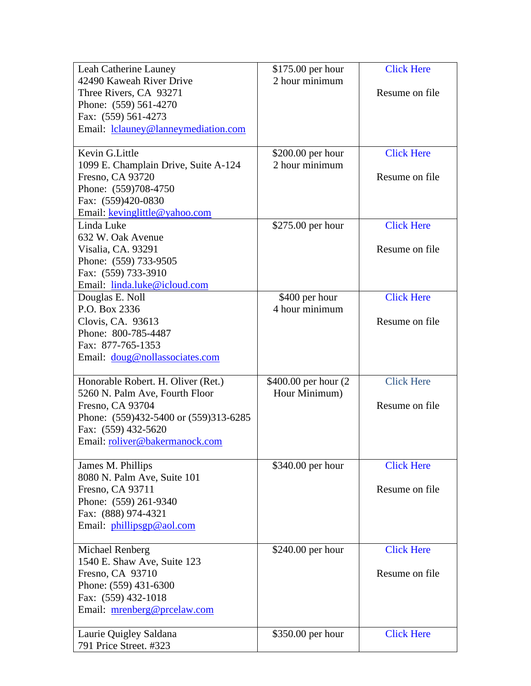| Leah Catherine Launey                                        | $$175.00$ per hour    | <b>Click Here</b> |
|--------------------------------------------------------------|-----------------------|-------------------|
| 42490 Kaweah River Drive                                     | 2 hour minimum        |                   |
| Three Rivers, CA 93271                                       |                       | Resume on file    |
| Phone: (559) 561-4270                                        |                       |                   |
| Fax: (559) 561-4273                                          |                       |                   |
| Email: lclauney@lanneymediation.com                          |                       |                   |
|                                                              |                       |                   |
| Kevin G.Little                                               | \$200.00 per hour     | <b>Click Here</b> |
| 1099 E. Champlain Drive, Suite A-124                         | 2 hour minimum        |                   |
| Fresno, CA 93720                                             |                       | Resume on file    |
| Phone: (559)708-4750                                         |                       |                   |
| Fax: (559)420-0830                                           |                       |                   |
| Email: kevinglittle@yahoo.com                                |                       |                   |
| Linda Luke                                                   | \$275.00 per hour     | <b>Click Here</b> |
| 632 W. Oak Avenue                                            |                       |                   |
| Visalia, CA. 93291                                           |                       | Resume on file    |
| Phone: (559) 733-9505                                        |                       |                   |
| Fax: (559) 733-3910                                          |                       |                   |
| Email: linda.luke@icloud.com                                 |                       |                   |
| Douglas E. Noll                                              | \$400 per hour        | <b>Click Here</b> |
| P.O. Box 2336                                                | 4 hour minimum        |                   |
| Clovis, CA. 93613                                            |                       | Resume on file    |
| Phone: 800-785-4487                                          |                       |                   |
| Fax: 877-765-1353                                            |                       |                   |
| Email: doug@nollassociates.com                               |                       |                   |
|                                                              |                       | <b>Click Here</b> |
| Honorable Robert. H. Oliver (Ret.)                           | \$400.00 per hour (2) |                   |
| 5260 N. Palm Ave, Fourth Floor<br>Fresno, CA 93704           | Hour Minimum)         | Resume on file    |
|                                                              |                       |                   |
| Phone: (559)432-5400 or (559)313-6285<br>Fax: (559) 432-5620 |                       |                   |
| Email: roliver@bakermanock.com                               |                       |                   |
|                                                              |                       |                   |
| James M. Phillips                                            | \$340.00 per hour     | <b>Click Here</b> |
| 8080 N. Palm Ave, Suite 101                                  |                       |                   |
| Fresno, CA 93711                                             |                       | Resume on file    |
| Phone: (559) 261-9340                                        |                       |                   |
| Fax: (888) 974-4321                                          |                       |                   |
| Email: phillipsgp@aol.com                                    |                       |                   |
|                                                              |                       |                   |
| Michael Renberg                                              | $$240.00$ per hour    | <b>Click Here</b> |
| 1540 E. Shaw Ave, Suite 123                                  |                       |                   |
| Fresno, CA 93710                                             |                       | Resume on file    |
| Phone: (559) 431-6300                                        |                       |                   |
| Fax: (559) 432-1018                                          |                       |                   |
| Email: mrenberg@prcelaw.com                                  |                       |                   |
|                                                              |                       |                   |
| Laurie Quigley Saldana<br>791 Price Street. #323             | \$350.00 per hour     | <b>Click Here</b> |
|                                                              |                       |                   |